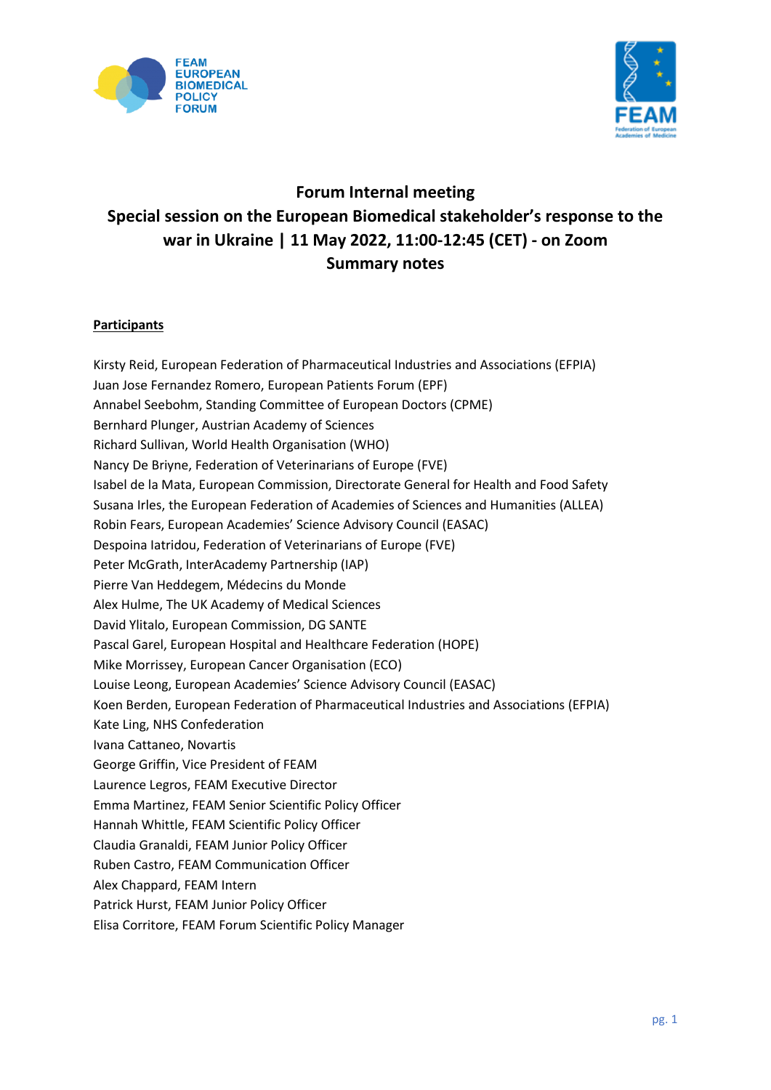



# **Forum Internal meeting Special session on the European Biomedical stakeholder's response to the war in Ukraine | 11 May 2022, 11:00-12:45 (CET) - on Zoom Summary notes**

# **Participants**

Kirsty Reid, European Federation of Pharmaceutical Industries and Associations (EFPIA) Juan Jose Fernandez Romero, European Patients Forum (EPF) Annabel Seebohm, Standing Committee of European Doctors (CPME) Bernhard Plunger, Austrian Academy of Sciences Richard Sullivan, World Health Organisation (WHO) Nancy De Briyne, Federation of Veterinarians of Europe (FVE) Isabel de la Mata, European Commission, Directorate General for Health and Food Safety Susana Irles, the European Federation of Academies of Sciences and Humanities (ALLEA) Robin Fears, European Academies' Science Advisory Council (EASAC) Despoina Iatridou, Federation of Veterinarians of Europe (FVE) Peter McGrath, InterAcademy Partnership (IAP) Pierre Van Heddegem, Médecins du Monde Alex Hulme, The UK Academy of Medical Sciences David Ylitalo, European Commission, DG SANTE Pascal Garel, European Hospital and Healthcare Federation (HOPE) Mike Morrissey, European Cancer Organisation (ECO) Louise Leong, European Academies' Science Advisory Council (EASAC) Koen Berden, European Federation of Pharmaceutical Industries and Associations (EFPIA) Kate Ling, NHS Confederation Ivana Cattaneo, Novartis George Griffin, Vice President of FEAM Laurence Legros, FEAM Executive Director Emma Martinez, FEAM Senior Scientific Policy Officer Hannah Whittle, FEAM Scientific Policy Officer Claudia Granaldi, FEAM Junior Policy Officer Ruben Castro, FEAM Communication Officer Alex Chappard, FEAM Intern Patrick Hurst, FEAM Junior Policy Officer Elisa Corritore, FEAM Forum Scientific Policy Manager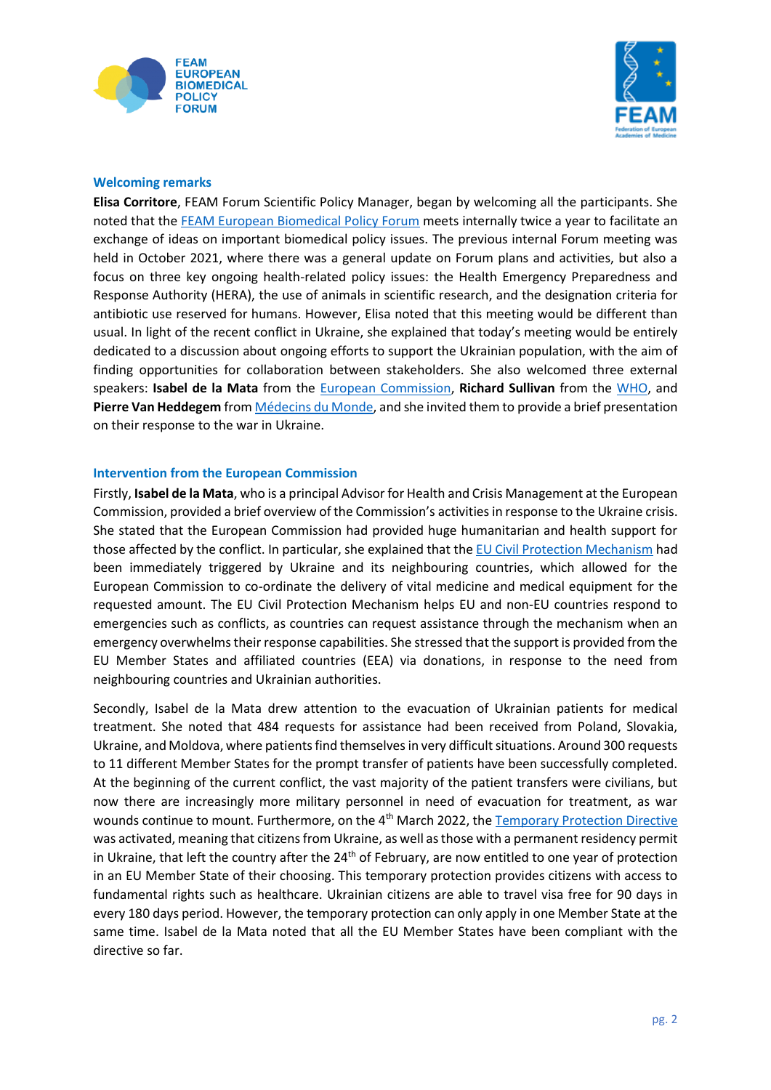



#### **Welcoming remarks**

**Elisa Corritore**, FEAM Forum Scientific Policy Manager, began by welcoming all the participants. She noted that th[e FEAM European Biomedical Policy Forum](https://www.feam.eu/policy-priorities-2/forum/?adlt=strict&toWww=1&redig=DC0DCF63DD1F483FB51B02C1CDDD988B) meets internally twice a year to facilitate an exchange of ideas on important biomedical policy issues. The previous internal Forum meeting was held in October 2021, where there was a general update on Forum plans and activities, but also a focus on three key ongoing health-related policy issues: the Health Emergency Preparedness and Response Authority (HERA), the use of animals in scientific research, and the designation criteria for antibiotic use reserved for humans. However, Elisa noted that this meeting would be different than usual. In light of the recent conflict in Ukraine, she explained that today's meeting would be entirely dedicated to a discussion about ongoing efforts to support the Ukrainian population, with the aim of finding opportunities for collaboration between stakeholders. She also welcomed three external speakers: **Isabel de la Mata** from the [European Commission,](https://ec.europa.eu/info/index_en?adlt=strict&toWww=1&redig=B1404537C7AC4823B703EEBCCF8A9CCE) **Richard Sullivan** from the [WHO,](https://www.who.int/?adlt=strict&toWww=1&redig=DC081C7CEE47442DAD5EE2D2808F705F) and **Pierre Van Heddegem** from Médecins [du Monde,](https://www.medecinsdumonde.org/fr?adlt=strict&toWww=1&redig=50AF389512C9487B8CC15B245F8E2655) and she invited them to provide a brief presentation on their response to the war in Ukraine.

#### **Intervention from the European Commission**

Firstly, **Isabel de la Mata**, who is a principal Advisor for Health and Crisis Management at the European Commission, provided a brief overview of the Commission's activities in response to the Ukraine crisis. She stated that the European Commission had provided huge humanitarian and health support for those affected by the conflict. In particular, she explained that the [EU Civil Protection Mechanism](https://ec.europa.eu/echo/what/civil-protection/eu-civil-protection-mechanism_en?adlt=strict&toWww=1&redig=4DA18E28A2924CF48C0ECD42C631CAB8) had been immediately triggered by Ukraine and its neighbouring countries, which allowed for the European Commission to co-ordinate the delivery of vital medicine and medical equipment for the requested amount. The EU Civil Protection Mechanism helps EU and non-EU countries respond to emergencies such as conflicts, as countries can request assistance through the mechanism when an emergency overwhelms their response capabilities. She stressed that the support is provided from the EU Member States and affiliated countries (EEA) via donations, in response to the need from neighbouring countries and Ukrainian authorities.

Secondly, Isabel de la Mata drew attention to the evacuation of Ukrainian patients for medical treatment. She noted that 484 requests for assistance had been received from Poland, Slovakia, Ukraine, and Moldova, where patients find themselves in very difficult situations. Around 300 requests to 11 different Member States for the prompt transfer of patients have been successfully completed. At the beginning of the current conflict, the vast majority of the patient transfers were civilians, but now there are increasingly more military personnel in need of evacuation for treatment, as war wounds continue to mount. Furthermore, on the 4th March 2022, th[e Temporary Protection Directive](https://www.europarl.europa.eu/RegData/etudes/BRIE/2022/729331/EPRS_BRI(2022)729331_EN.pdf?adlt=strict&toWww=1&redig=2F2481F89AAB44D9ACB9F2A088926F18) was activated, meaning that citizens from Ukraine, as well as those with a permanent residency permit in Ukraine, that left the country after the  $24<sup>th</sup>$  of February, are now entitled to one year of protection in an EU Member State of their choosing. This temporary protection provides citizens with access to fundamental rights such as healthcare. Ukrainian citizens are able to travel visa free for 90 days in every 180 days period. However, the temporary protection can only apply in one Member State at the same time. Isabel de la Mata noted that all the EU Member States have been compliant with the directive so far.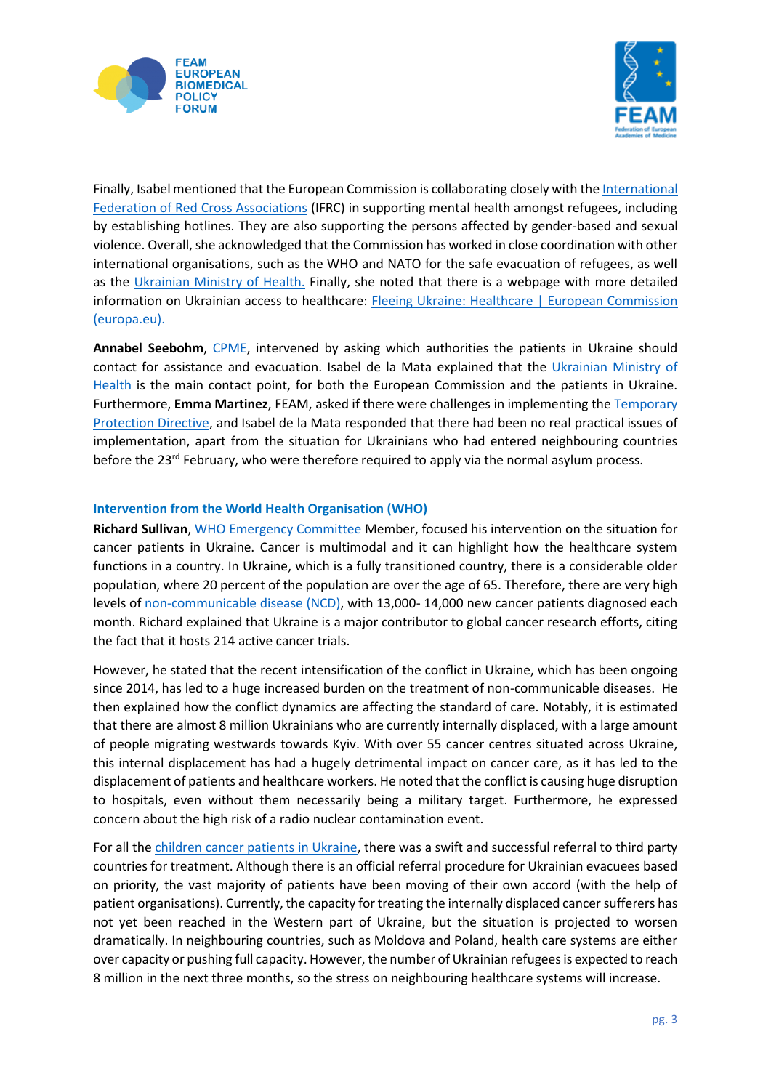



Finally, Isabel mentioned that the European Commission is collaborating closely with th[e International](https://www.ifrc.org/)  [Federation of Red Cross Associations](https://www.ifrc.org/) (IFRC) in supporting mental health amongst refugees, including by establishing hotlines. They are also supporting the persons affected by gender-based and sexual violence. Overall, she acknowledged that the Commission has worked in close coordination with other international organisations, such as the WHO and NATO for the safe evacuation of refugees, as well as the [Ukrainian Ministry of Health.](https://en.moz.gov.ua/) Finally, she noted that there is a webpage with more detailed information on Ukrainian access to healthcare: Fleeing Ukraine: Healthcare | European Commission [\(europa.eu\).](https://ec.europa.eu/info/strategy/priorities-2019-2024/stronger-europe-world/eu-solidarity-ukraine/eu-assistance-ukraine/information-people-fleeing-war-ukraine/fleeing-ukraine-healthcare_en)

**Annabel Seebohm**, [CPME,](https://www.cpme.eu/?adlt=strict&toWww=1&redig=4E25BEEB61494F2097B37D3CEAE534FF) intervened by asking which authorities the patients in Ukraine should contact for assistance and evacuation. Isabel de la Mata explained that the [Ukrainian Ministry of](https://en.moz.gov.ua/)  [Health](https://en.moz.gov.ua/) is the main contact point, for both the European Commission and the patients in Ukraine. Furthermore, **Emma Martinez**, FEAM, asked if there were challenges in implementing the [Temporary](https://www.europarl.europa.eu/RegData/etudes/BRIE/2022/729331/EPRS_BRI(2022)729331_EN.pdf?adlt=strict&toWww=1&redig=2F2481F89AAB44D9ACB9F2A088926F18)  [Protection Directive,](https://www.europarl.europa.eu/RegData/etudes/BRIE/2022/729331/EPRS_BRI(2022)729331_EN.pdf?adlt=strict&toWww=1&redig=2F2481F89AAB44D9ACB9F2A088926F18) and Isabel de la Mata responded that there had been no real practical issues of implementation, apart from the situation for Ukrainians who had entered neighbouring countries before the 23<sup>rd</sup> February, who were therefore required to apply via the normal asylum process.

#### **Intervention from the World Health Organisation (WHO)**

**Richard Sullivan**, [WHO Emergency Committee](https://www.euro.who.int/en/health-topics/health-emergencies/international-health-regulations/event-reporting-and-review/reporting-events/ihr-committees/ihr-emergency-committee#:~:text=Established%20by%20the%20WHO%20Director-General%20under%20Article%2048,advice%20to%20the%20Director-General%20to%20inform%20his%20decision.?adlt=strict&toWww=1&redig=E8673513E5E84DB181D8D7B34C621C9C) Member, focused his intervention on the situation for cancer patients in Ukraine. Cancer is multimodal and it can highlight how the healthcare system functions in a country. In Ukraine, which is a fully transitioned country, there is a considerable older population, where 20 percent of the population are over the age of 65. Therefore, there are very high levels o[f non-communicable disease \(NCD\),](https://www.who.int/news-room/fact-sheets/detail/noncommunicable-diseases?adlt=strict&toWww=1&redig=59378661DD2F4127BC13BCC8AFD87433) with 13,000- 14,000 new cancer patients diagnosed each month. Richard explained that Ukraine is a major contributor to global cancer research efforts, citing the fact that it hosts 214 active cancer trials.

However, he stated that the recent intensification of the conflict in Ukraine, which has been ongoing since 2014, has led to a huge increased burden on the treatment of non-communicable diseases. He then explained how the conflict dynamics are affecting the standard of care. Notably, it is estimated that there are almost 8 million Ukrainians who are currently internally displaced, with a large amount of people migrating westwards towards Kyiv. With over 55 cancer centres situated across Ukraine, this internal displacement has had a hugely detrimental impact on cancer care, as it has led to the displacement of patients and healthcare workers. He noted that the conflict is causing huge disruption to hospitals, even without them necessarily being a military target. Furthermore, he expressed concern about the high risk of a radio nuclear contamination event.

For all th[e children cancer patients in Ukraine,](https://www.euro.who.int/en/health-topics/health-emergencies/ukraine-emergency/news/news/2022/03/the-impacts-of-war-on-children-with-cancer-ensuring-continuation-of-care-for-those-whose-lives-depend-on-it?adlt=strict&toWww=1&redig=CF42597689504BDEAF7CEC9F222A34DB) there was a swift and successful referral to third party countries for treatment. Although there is an official referral procedure for Ukrainian evacuees based on priority, the vast majority of patients have been moving of their own accord (with the help of patient organisations). Currently, the capacity for treating the internally displaced cancer sufferers has not yet been reached in the Western part of Ukraine, but the situation is projected to worsen dramatically. In neighbouring countries, such as Moldova and Poland, health care systems are either over capacity or pushing full capacity. However, the number of Ukrainian refugees is expected to reach 8 million in the next three months, so the stress on neighbouring healthcare systems will increase.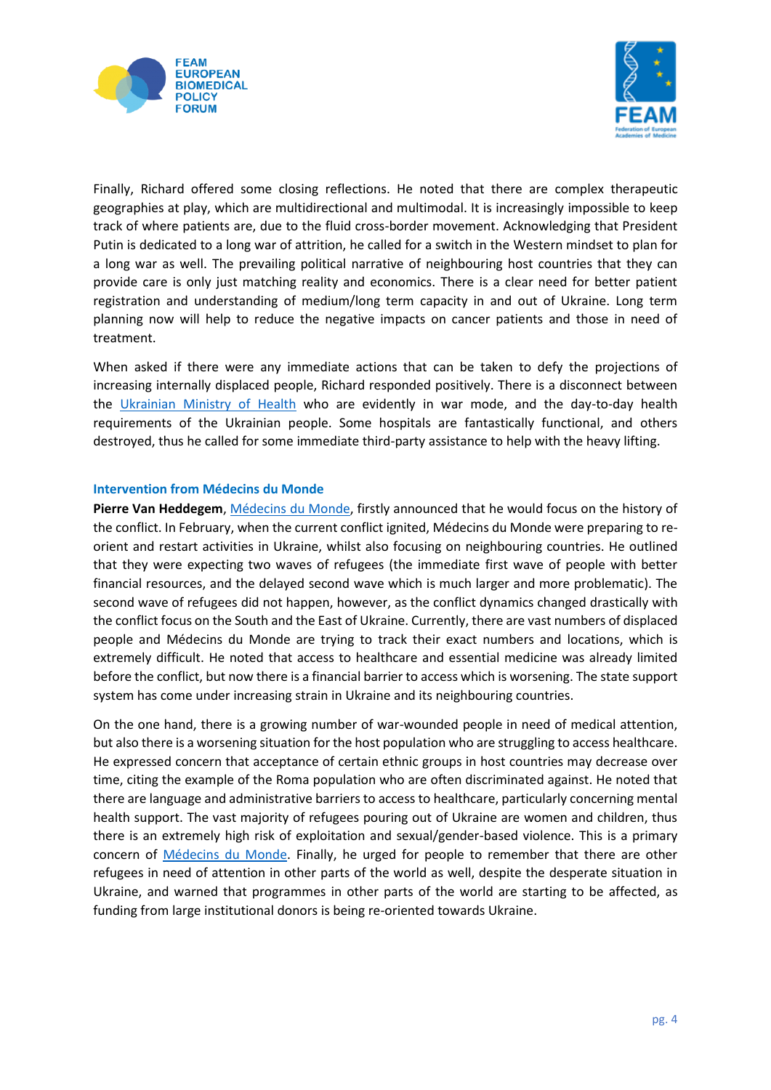



Finally, Richard offered some closing reflections. He noted that there are complex therapeutic geographies at play, which are multidirectional and multimodal. It is increasingly impossible to keep track of where patients are, due to the fluid cross-border movement. Acknowledging that President Putin is dedicated to a long war of attrition, he called for a switch in the Western mindset to plan for a long war as well. The prevailing political narrative of neighbouring host countries that they can provide care is only just matching reality and economics. There is a clear need for better patient registration and understanding of medium/long term capacity in and out of Ukraine. Long term planning now will help to reduce the negative impacts on cancer patients and those in need of treatment.

When asked if there were any immediate actions that can be taken to defy the projections of increasing internally displaced people, Richard responded positively. There is a disconnect between the [Ukrainian Ministry of Health](https://en.moz.gov.ua/) who are evidently in war mode, and the day-to-day health requirements of the Ukrainian people. Some hospitals are fantastically functional, and others destroyed, thus he called for some immediate third-party assistance to help with the heavy lifting.

#### **Intervention from Médecins du Monde**

**Pierre Van Heddegem**, Médecins [du Monde,](https://medecinsdumonde.be/?adlt=strict&toWww=1&redig=A3405A985A444C0A864969DEFF431C91) firstly announced that he would focus on the history of the conflict. In February, when the current conflict ignited, Médecins du Monde were preparing to reorient and restart activities in Ukraine, whilst also focusing on neighbouring countries. He outlined that they were expecting two waves of refugees (the immediate first wave of people with better financial resources, and the delayed second wave which is much larger and more problematic). The second wave of refugees did not happen, however, as the conflict dynamics changed drastically with the conflict focus on the South and the East of Ukraine. Currently, there are vast numbers of displaced people and Médecins du Monde are trying to track their exact numbers and locations, which is extremely difficult. He noted that access to healthcare and essential medicine was already limited before the conflict, but now there is a financial barrier to access which is worsening. The state support system has come under increasing strain in Ukraine and its neighbouring countries.

On the one hand, there is a growing number of war-wounded people in need of medical attention, but also there is a worsening situation for the host population who are struggling to access healthcare. He expressed concern that acceptance of certain ethnic groups in host countries may decrease over time, citing the example of the Roma population who are often discriminated against. He noted that there are language and administrative barriers to access to healthcare, particularly concerning mental health support. The vast majority of refugees pouring out of Ukraine are women and children, thus there is an extremely high risk of exploitation and sexual/gender-based violence. This is a primary concern of Médecins [du Monde.](https://medecinsdumonde.be/?adlt=strict&toWww=1&redig=A3405A985A444C0A864969DEFF431C91) Finally, he urged for people to remember that there are other refugees in need of attention in other parts of the world as well, despite the desperate situation in Ukraine, and warned that programmes in other parts of the world are starting to be affected, as funding from large institutional donors is being re-oriented towards Ukraine.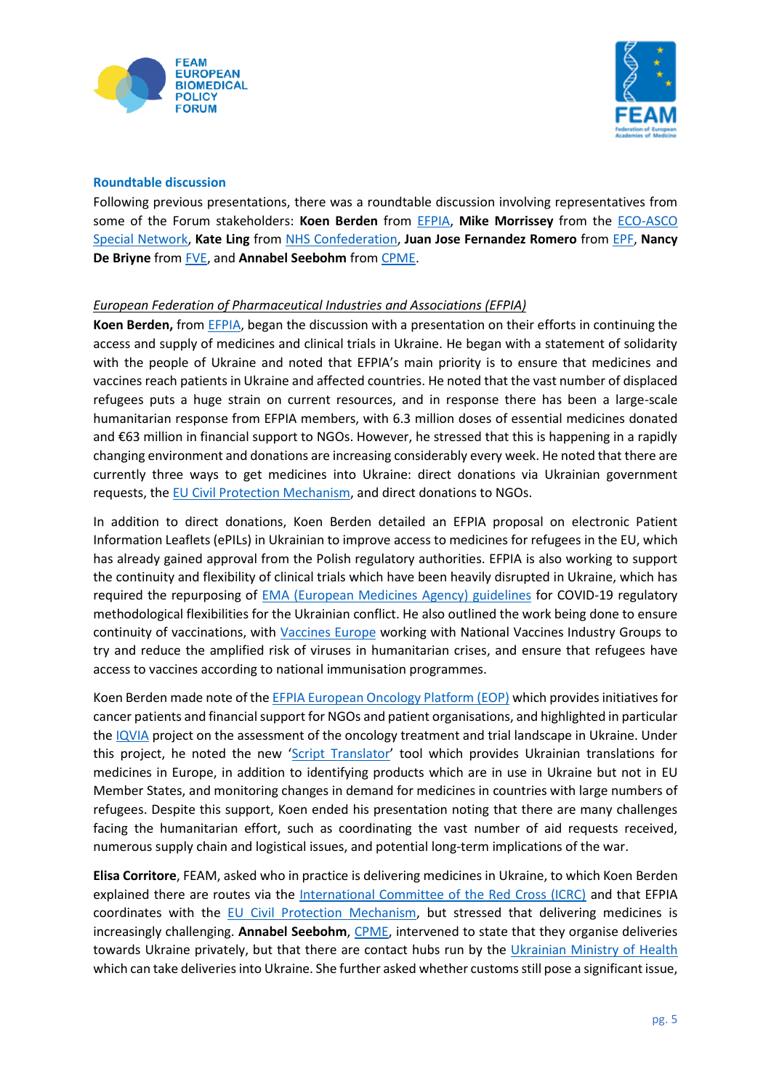



#### **Roundtable discussion**

Following previous presentations, there was a roundtable discussion involving representatives from some of the Forum stakeholders: **Koen Berden** from [EFPIA,](https://efpia.eu/) **Mike Morrissey** from the [ECO-ASCO](https://www.europeancancer.org/topic-networks/20:impact-war-in-ukraine-on-cancer.htm)  [Special Network,](https://www.europeancancer.org/topic-networks/20:impact-war-in-ukraine-on-cancer.htm) **Kate Ling** from [NHS Confederation,](https://www.nhsconfed.org/) **Juan Jose Fernandez Romero** from [EPF,](https://www.eu-patient.eu/) **Nancy De Briyne** from [FVE,](https://fve.org/) and **Annabel Seebohm** fro[m CPME.](https://www.cpme.eu/?adlt=strict&toWww=1&redig=4E25BEEB61494F2097B37D3CEAE534FF)

#### *European Federation of Pharmaceutical Industries and Associations (EFPIA)*

**Koen Berden,** fro[m EFPIA,](https://efpia.eu/) began the discussion with a presentation on their efforts in continuing the access and supply of medicines and clinical trials in Ukraine. He began with a statement of solidarity with the people of Ukraine and noted that EFPIA's main priority is to ensure that medicines and vaccines reach patients in Ukraine and affected countries. He noted that the vast number of displaced refugees puts a huge strain on current resources, and in response there has been a large-scale humanitarian response from EFPIA members, with 6.3 million doses of essential medicines donated and €63 million in financial support to NGOs. However, he stressed that this is happening in a rapidly changing environment and donations are increasing considerably every week. He noted that there are currently three ways to get medicines into Ukraine: direct donations via Ukrainian government requests, the [EU Civil Protection Mechanism,](https://ec.europa.eu/echo/what/civil-protection/eu-civil-protection-mechanism_en?adlt=strict&toWww=1&redig=4DA18E28A2924CF48C0ECD42C631CAB8) and direct donations to NGOs.

In addition to direct donations, Koen Berden detailed an EFPIA proposal on electronic Patient Information Leaflets (ePILs) in Ukrainian to improve access to medicines for refugees in the EU, which has already gained approval from the Polish regulatory authorities. EFPIA is also working to support the continuity and flexibility of clinical trials which have been heavily disrupted in Ukraine, which has required the repurposing of [EMA \(European Medicines Agency\) guidelines](https://www.ema.europa.eu/en/news/advice-sponsors-managing-impact-war-ukraine-clinical-trials) for COVID-19 regulatory methodological flexibilities for the Ukrainian conflict. He also outlined the work being done to ensure continuity of vaccinations, with [Vaccines Europe](https://www.vaccineseurope.eu/) working with National Vaccines Industry Groups to try and reduce the amplified risk of viruses in humanitarian crises, and ensure that refugees have access to vaccines according to national immunisation programmes.

Koen Berden made note of th[e EFPIA European Oncology Platform \(EOP\)](https://efpia.eu/about-medicines/use-of-medicines/disease-specific-groups/fighting-cancer/) which provides initiatives for cancer patients and financial support for NGOs and patient organisations, and highlighted in particular th[e IQVIA](https://www.iqvia.com/) project on the assessment of the oncology treatment and trial landscape in Ukraine. Under this project, he noted the new '[Script Translator](https://ukrainemedlist.solutions.iqvia.com/)' tool which provides Ukrainian translations for medicines in Europe, in addition to identifying products which are in use in Ukraine but not in EU Member States, and monitoring changes in demand for medicines in countries with large numbers of refugees. Despite this support, Koen ended his presentation noting that there are many challenges facing the humanitarian effort, such as coordinating the vast number of aid requests received, numerous supply chain and logistical issues, and potential long-term implications of the war.

**Elisa Corritore**, FEAM, asked who in practice is delivering medicines in Ukraine, to which Koen Berden explained there are routes via the [International Committee of the Red Cross \(ICRC\)](https://www.icrc.org/?adlt=strict&toWww=1&redig=0F9B2B1B18784D5091924CAC5F33EEDF) and that EFPIA coordinates with the [EU Civil Protection Mechanism,](https://ec.europa.eu/echo/what/civil-protection/eu-civil-protection-mechanism_en?adlt=strict&toWww=1&redig=4DA18E28A2924CF48C0ECD42C631CAB8) but stressed that delivering medicines is increasingly challenging. **Annabel Seebohm**, [CPME,](https://www.cpme.eu/?adlt=strict&toWww=1&redig=4E25BEEB61494F2097B37D3CEAE534FF) intervened to state that they organise deliveries towards Ukraine privately, but that there are contact hubs run by the [Ukrainian Ministry of Health](https://en.moz.gov.ua/) which can take deliveries into Ukraine. She further asked whether customs still pose a significant issue,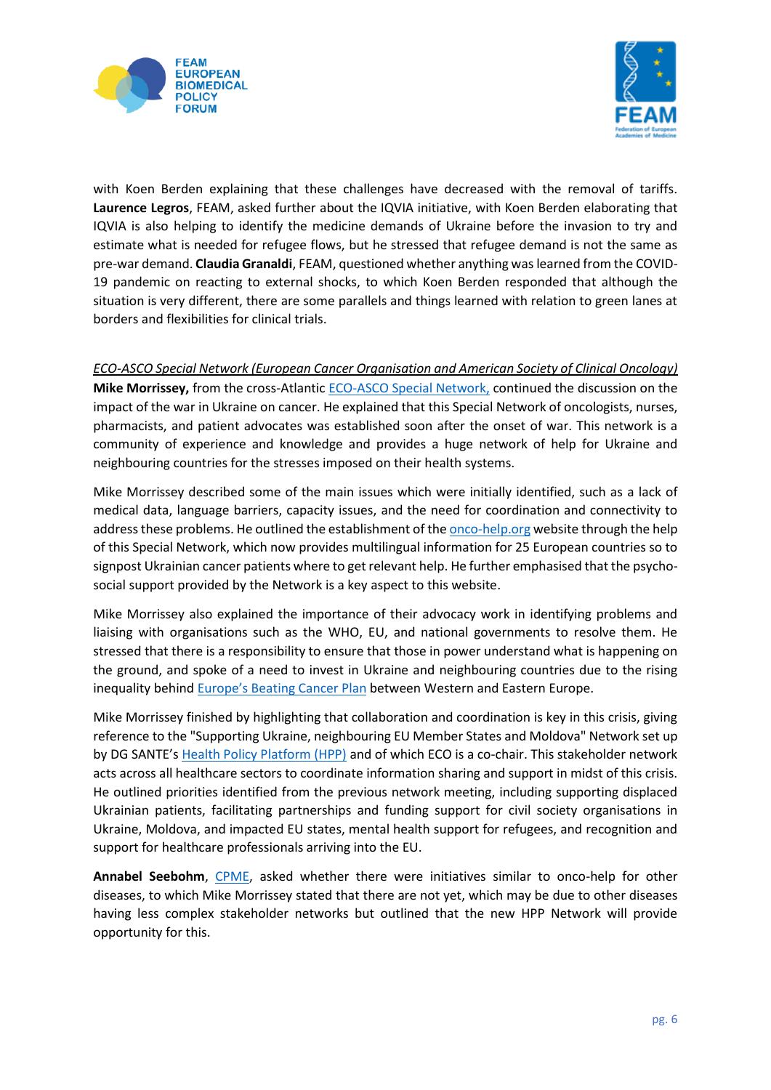



with Koen Berden explaining that these challenges have decreased with the removal of tariffs. **Laurence Legros**, FEAM, asked further about the IQVIA initiative, with Koen Berden elaborating that IQVIA is also helping to identify the medicine demands of Ukraine before the invasion to try and estimate what is needed for refugee flows, but he stressed that refugee demand is not the same as pre-war demand. **Claudia Granaldi**, FEAM, questioned whether anything was learned from the COVID-19 pandemic on reacting to external shocks, to which Koen Berden responded that although the situation is very different, there are some parallels and things learned with relation to green lanes at borders and flexibilities for clinical trials.

*ECO-ASCO Special Network (European Cancer Organisation and American Society of Clinical Oncology)* **Mike Morrissey,** from the cross-Atlantic [ECO-ASCO Special Network,](https://www.europeancancer.org/topic-networks/20:impact-war-in-ukraine-on-cancer.htm) continued the discussion on the impact of the war in Ukraine on cancer. He explained that this Special Network of oncologists, nurses, pharmacists, and patient advocates was established soon after the onset of war. This network is a community of experience and knowledge and provides a huge network of help for Ukraine and neighbouring countries for the stresses imposed on their health systems.

Mike Morrissey described some of the main issues which were initially identified, such as a lack of medical data, language barriers, capacity issues, and the need for coordination and connectivity to address these problems. He outlined the establishment of th[e onco-help.org](https://www.europeancancer.org/help) website through the help of this Special Network, which now provides multilingual information for 25 European countries so to signpost Ukrainian cancer patients where to get relevant help. He further emphasised that the psychosocial support provided by the Network is a key aspect to this website.

Mike Morrissey also explained the importance of their advocacy work in identifying problems and liaising with organisations such as the WHO, EU, and national governments to resolve them. He stressed that there is a responsibility to ensure that those in power understand what is happening on the ground, and spoke of a need to invest in Ukraine and neighbouring countries due to the rising inequality behind [Europe's Beating Cancer Plan](https://ec.europa.eu/info/strategy/priorities-2019-2024/promoting-our-european-way-life/european-health-union/cancer-plan-europe_en) between Western and Eastern Europe.

Mike Morrissey finished by highlighting that collaboration and coordination is key in this crisis, giving reference to the "Supporting Ukraine, neighbouring EU Member States and Moldova" Network set up by DG SANTE's [Health Policy Platform \(HPP\)](https://ec.europa.eu/health/eu-health-policy/interest-groups/eu-health-policy-platform_en) and of which ECO is a co-chair. This stakeholder network acts across all healthcare sectors to coordinate information sharing and support in midst of this crisis. He outlined priorities identified from the previous network meeting, including supporting displaced Ukrainian patients, facilitating partnerships and funding support for civil society organisations in Ukraine, Moldova, and impacted EU states, mental health support for refugees, and recognition and support for healthcare professionals arriving into the EU.

**Annabel Seebohm**, [CPME,](https://www.cpme.eu/?adlt=strict&toWww=1&redig=4E25BEEB61494F2097B37D3CEAE534FF) asked whether there were initiatives similar to onco-help for other diseases, to which Mike Morrissey stated that there are not yet, which may be due to other diseases having less complex stakeholder networks but outlined that the new HPP Network will provide opportunity for this.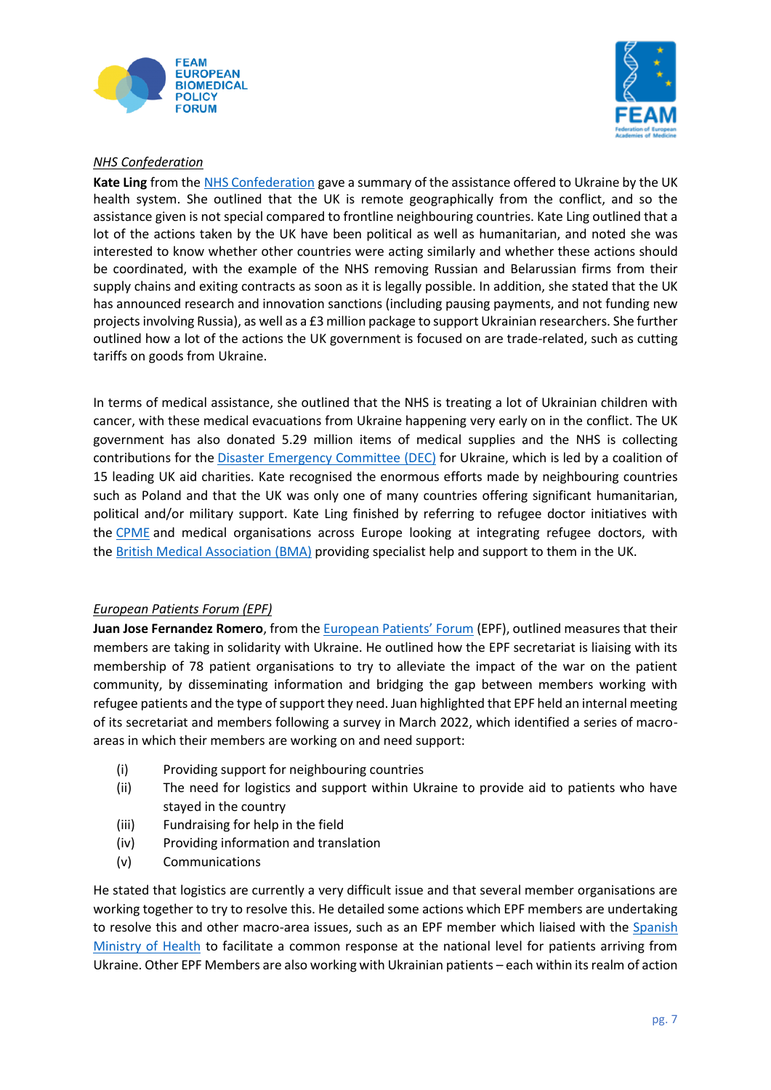



# *NHS Confederation*

**Kate Ling** from the NHS [Confederation](https://www.nhsconfed.org/) gave a summary of the assistance offered to Ukraine by the UK health system. She outlined that the UK is remote geographically from the conflict, and so the assistance given is not special compared to frontline neighbouring countries. Kate Ling outlined that a lot of the actions taken by the UK have been political as well as humanitarian, and noted she was interested to know whether other countries were acting similarly and whether these actions should be coordinated, with the example of the NHS removing Russian and Belarussian firms from their supply chains and exiting contracts as soon as it is legally possible. In addition, she stated that the UK has announced research and innovation sanctions (including pausing payments, and not funding new projectsinvolving Russia), as well as a £3 million package to support Ukrainian researchers. She further outlined how a lot of the actions the UK government is focused on are trade-related, such as cutting tariffs on goods from Ukraine.

In terms of medical assistance, she outlined that the NHS is treating a lot of Ukrainian children with cancer, with these medical evacuations from Ukraine happening very early on in the conflict. The UK government has also donated 5.29 million items of medical supplies and the NHS is collecting contributions for the **Disaster Emergency [Committee](https://www.dec.org.uk/) (DEC)** for Ukraine, which is led by a coalition of 15 leading UK aid charities. Kate recognised the enormous efforts made by neighbouring countries such as Poland and that the UK was only one of many countries offering significant humanitarian, political and/or military support. Kate Ling finished by referring to refugee doctor initiatives with the [CPME](https://www.cpme.eu/?adlt=strict&toWww=1&redig=4E25BEEB61494F2097B37D3CEAE534FF) and medical organisations across Europe looking at integrating refugee doctors, with the British Medical [Association](https://www.bma.org.uk/advice-and-support/international-doctors/coming-to-work-in-the-uk/help-for-refugee-doctors?query=cpme) (BMA) providing specialist help and support to them in the UK.

# *European Patients Forum (EPF)*

Juan Jose Fernandez Romero, from the **[European Patients' Forum](https://www.eu-patient.eu/news/latest-epf-news/2022/epf-stands-in-solidarity-with-ukraine/)** (EPF), outlined measures that their members are taking in solidarity with Ukraine. He outlined how the EPF secretariat is liaising with its membership of 78 patient organisations to try to alleviate the impact of the war on the patient community, by disseminating information and bridging the gap between members working with refugee patients and the type of support they need. Juan highlighted that EPF held an internal meeting of its secretariat and members following a survey in March 2022, which identified a series of macroareas in which their members are working on and need support:

- (i) Providing support for neighbouring countries
- (ii) The need for logistics and support within Ukraine to provide aid to patients who have stayed in the country
- (iii) Fundraising for help in the field
- (iv) Providing information and translation
- (v) Communications

He stated that logistics are currently a very difficult issue and that several member organisations are working together to try to resolve this. He detailed some actions which EPF members are undertaking to resolve this and other macro-area issues, such as an EPF member which liaised with the [Spanish](https://www.sanidad.gob.es/home.htm)  [Ministry of Health](https://www.sanidad.gob.es/home.htm) to facilitate a common response at the national level for patients arriving from Ukraine. Other EPF Members are also working with Ukrainian patients – each within its realm of action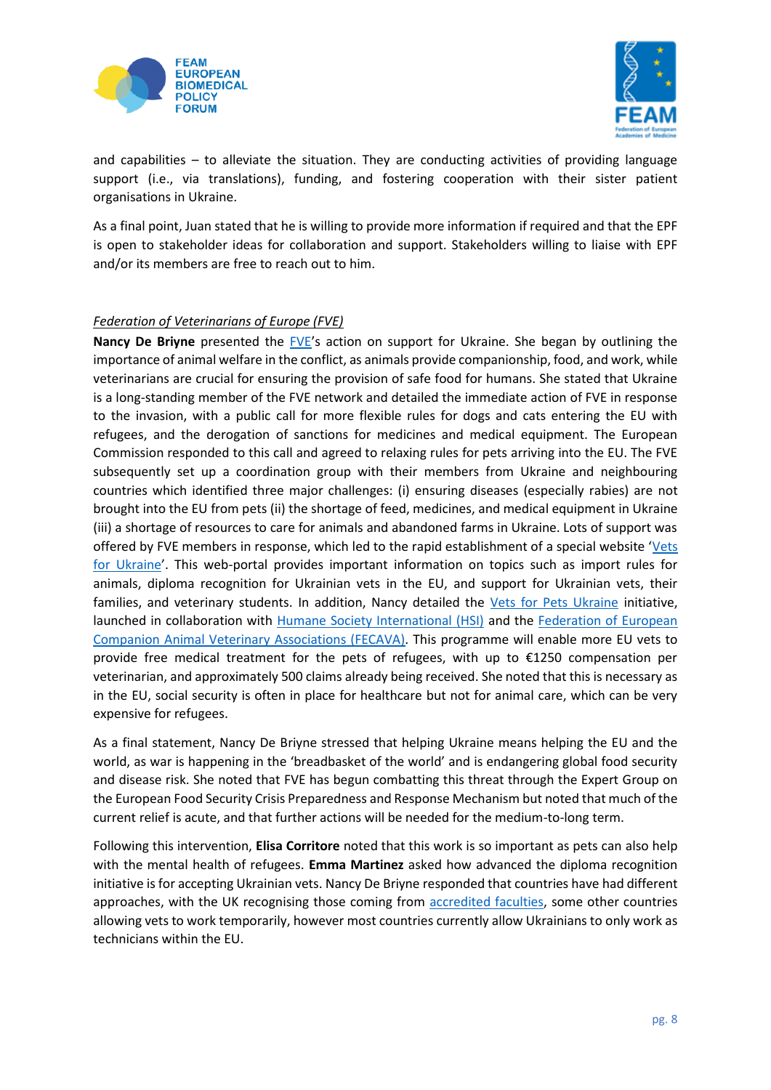



and capabilities – to alleviate the situation. They are conducting activities of providing language support (i.e., via translations), funding, and fostering cooperation with their sister patient organisations in Ukraine.

As a final point, Juan stated that he is willing to provide more information if required and that the EPF is open to stakeholder ideas for collaboration and support. Stakeholders willing to liaise with EPF and/or its members are free to reach out to him.

## *Federation of Veterinarians of Europe (FVE)*

**Nancy De Briyne** presented the [FVE](https://fve.org/)'s action on support for Ukraine. She began by outlining the importance of animal welfare in the conflict, as animals provide companionship, food, and work, while veterinarians are crucial for ensuring the provision of safe food for humans. She stated that Ukraine is a long-standing member of the FVE network and detailed the immediate action of FVE in response to the invasion, with a public call for more flexible rules for dogs and cats entering the EU with refugees, and the derogation of sanctions for medicines and medical equipment. The European Commission responded to this call and agreed to relaxing rules for pets arriving into the EU. The FVE subsequently set up a coordination group with their members from Ukraine and neighbouring countries which identified three major challenges: (i) ensuring diseases (especially rabies) are not brought into the EU from pets (ii) the shortage of feed, medicines, and medical equipment in Ukraine (iii) a shortage of resources to care for animals and abandoned farms in Ukraine. Lots of support was offered by FVE members in response, which led to the rapid establishment of a special website '[Vets](https://vetsforukraine.com/)  [for Ukraine](https://vetsforukraine.com/)'. This web-portal provides important information on topics such as import rules for animals, diploma recognition for Ukrainian vets in the EU, and support for Ukrainian vets, their families, and veterinary students. In addition, Nancy detailed the [Vets for Pets Ukraine](https://apply.vetsforukraine.com/) initiative, launched in collaboration with [Humane Society International \(HSI\)](https://www.hsi.org/) and the [Federation of European](https://www.fecava.org/)  [Companion Animal Veterinary Associations \(FECAVA\).](https://www.fecava.org/) This programme will enable more EU vets to provide free medical treatment for the pets of refugees, with up to €1250 compensation per veterinarian, and approximately 500 claims already being received. She noted that this is necessary as in the EU, social security is often in place for healthcare but not for animal care, which can be very expensive for refugees.

As a final statement, Nancy De Briyne stressed that helping Ukraine means helping the EU and the world, as war is happening in the 'breadbasket of the world' and is endangering global food security and disease risk. She noted that FVE has begun combatting this threat through the Expert Group on the European Food Security Crisis Preparedness and Response Mechanism but noted that much of the current relief is acute, and that further actions will be needed for the medium-to-long term.

Following this intervention, **Elisa Corritore** noted that this work is so important as pets can also help with the mental health of refugees. **Emma Martinez** asked how advanced the diploma recognition initiative is for accepting Ukrainian vets. Nancy De Briyne responded that countries have had different approaches, with the UK recognising those coming from [accredited faculties,](https://www.eaeve.org/fileadmin/downloads/establishments_status/EAEVE_Establishments__Status_March_2022_endorsed_by_ExCom_mod.pdf) some other countries allowing vets to work temporarily, however most countries currently allow Ukrainians to only work as technicians within the EU.